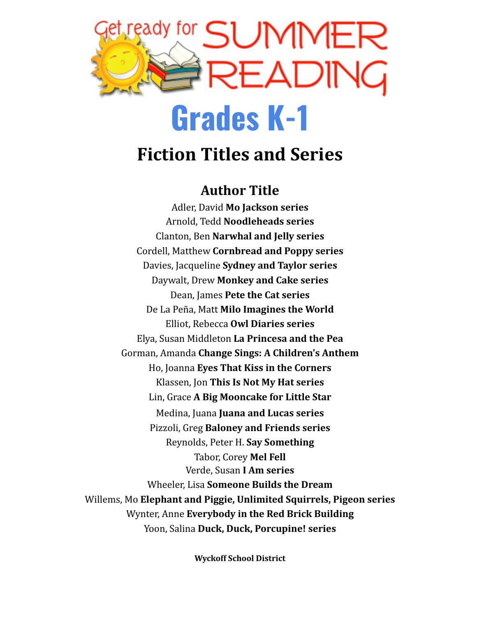

## **Fiction Titles and Series**

#### **Author Title**

Adler, David **Mo Jackson series** Arnold, Tedd **Noodleheads series** Clanton, Ben **Narwhal and Jelly series** Cordell, Matthew **Cornbread and Poppy series** Davies, Jacqueline **Sydney and Taylor series** Daywalt, Drew **Monkey and Cake series** Dean, James **Pete the Cat series** De La Peña, Matt **Milo Imagines the World** Elliot, Rebecca **Owl Diaries series** Elya, Susan Middleton **La Princesa and the Pea** Gorman, Amanda **Change Sings: A Children's Anthem** Ho, Joanna **Eyes That Kiss in the Corners** Klassen, Jon **This Is Not My Hat series** Lin, Grace **A Big Mooncake for Little Star** Medina, Juana **Juana and Lucas series** Pizzoli, Greg **Baloney and Friends series** Reynolds, Peter H. **Say Something** Tabor, Corey **Mel Fell** Verde, Susan **I Am series** Wheeler, Lisa **Someone Builds the Dream** Willems, Mo **Elephant and Piggie, Unlimited Squirrels, Pigeon series** Wynter, Anne **Everybody in the Red Brick Building** Yoon, Salina **Duck, Duck, Porcupine! series**

**Wyckoff School District**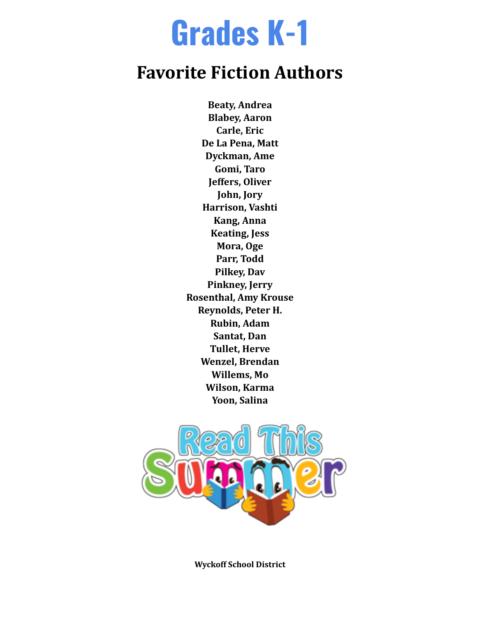## **Grades K-1**

### **Favorite Fiction Authors**

**Beaty, Andrea Blabey, Aaron Carle, Eric De La Pena, Matt Dyckman, Ame Gomi, Taro Jeffers, Oliver John, Jory Harrison, Vashti Kang, Anna Keating, Jess Mora, Oge Parr, Todd Pilkey, Dav Pinkney, Jerry Rosenthal, Amy Krouse Reynolds, Peter H. Rubin, Adam Santat, Dan Tullet, Herve Wenzel, Brendan Willems, Mo Wilson, Karma Yoon, Salina**



**Wyckoff School District**